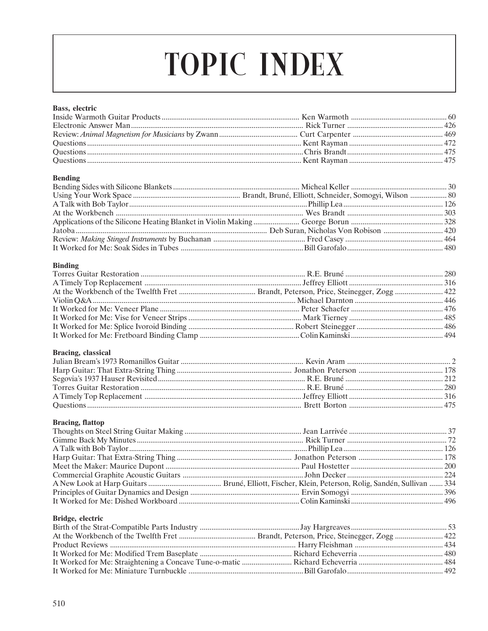# **TOPIC INDEX**

#### Bass, electric

# **Bending**

# **Binding**

#### Bracing, classical

| Ouestions 475 |  |
|---------------|--|

# **Bracing, flattop**

# Bridge, electric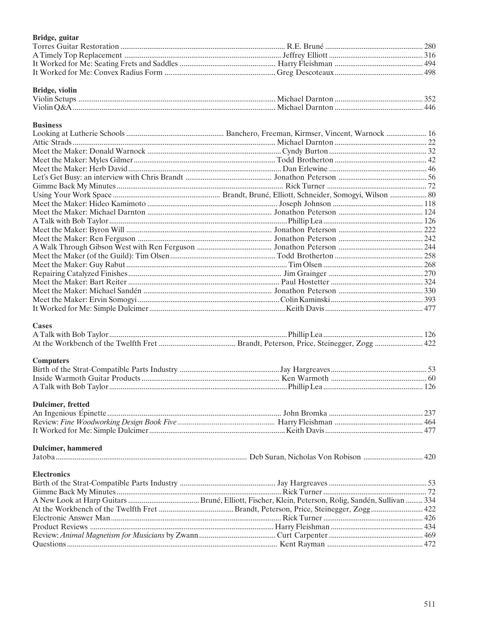# Bridge, guitar

| Bridge, violin |  |
|----------------|--|

| Violin Setups | Michael Darnton   |     |
|---------------|-------------------|-----|
| Violin O&A    | - Michael Darnton | 44h |

#### **Business**

## **Cases**

# **Computers**

# Dulcimer, fretted

# Dulcimer, hammered

| a di | . Je<br>21 I I | ,,, |  |  |
|------|----------------|-----|--|--|
|      |                |     |  |  |

# **Electronics**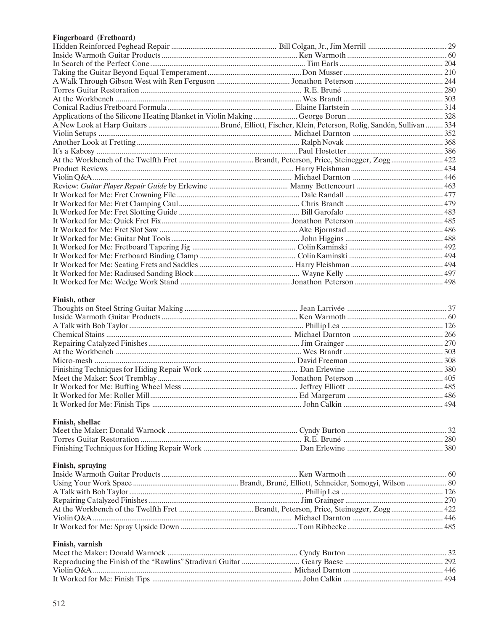# Fingerboard (Fretboard)

#### Finish, other

# Finish, shellac

# Finish, spraying

## Finish, varnish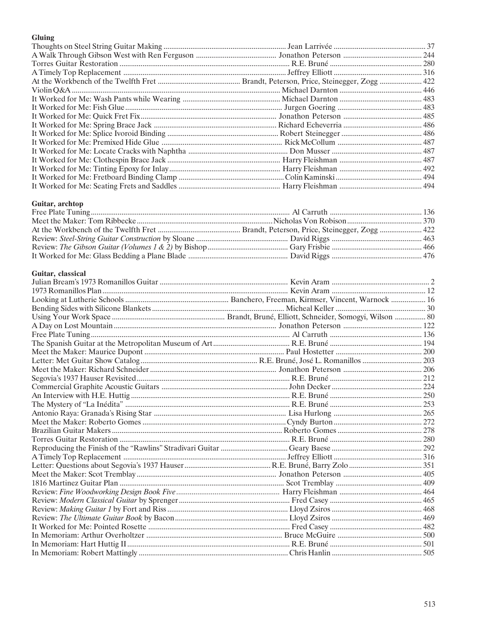# Gluing

#### Guitar, archtop

# Guitar, classical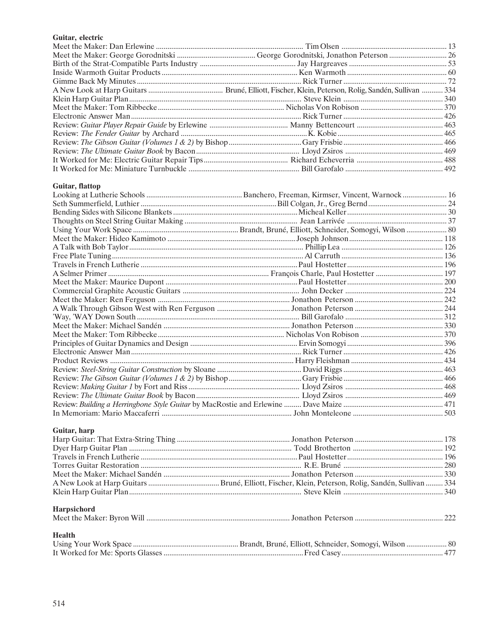# Guitar, electric

# Guitar, flattop

#### Guitar, harp

| Harpsichord |  |
|-------------|--|
| Health      |  |
|             |  |
|             |  |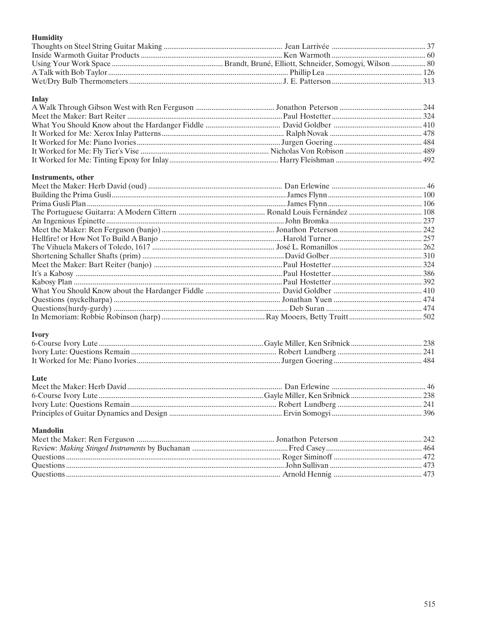# Humidity

# **Inlay**

# Instruments, other

# Ivory

#### Lute

# **Mandolin**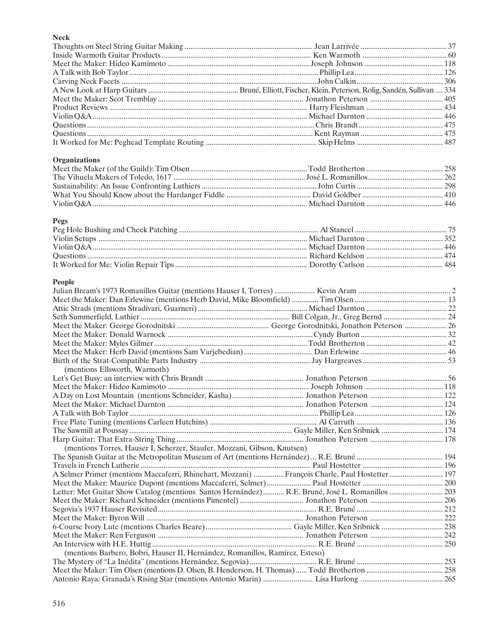# Neck

| INECK                                                                                           |  |
|-------------------------------------------------------------------------------------------------|--|
|                                                                                                 |  |
|                                                                                                 |  |
|                                                                                                 |  |
|                                                                                                 |  |
|                                                                                                 |  |
|                                                                                                 |  |
|                                                                                                 |  |
|                                                                                                 |  |
|                                                                                                 |  |
|                                                                                                 |  |
|                                                                                                 |  |
|                                                                                                 |  |
| <b>Organizations</b>                                                                            |  |
|                                                                                                 |  |
|                                                                                                 |  |
|                                                                                                 |  |
|                                                                                                 |  |
|                                                                                                 |  |
|                                                                                                 |  |
| <b>Pegs</b>                                                                                     |  |
|                                                                                                 |  |
|                                                                                                 |  |
|                                                                                                 |  |
|                                                                                                 |  |
|                                                                                                 |  |
|                                                                                                 |  |
| People                                                                                          |  |
|                                                                                                 |  |
|                                                                                                 |  |
|                                                                                                 |  |
|                                                                                                 |  |
|                                                                                                 |  |
|                                                                                                 |  |
|                                                                                                 |  |
|                                                                                                 |  |
|                                                                                                 |  |
| (mentions Ellsworth, Warmoth)                                                                   |  |
|                                                                                                 |  |
|                                                                                                 |  |
|                                                                                                 |  |
|                                                                                                 |  |
|                                                                                                 |  |
|                                                                                                 |  |
|                                                                                                 |  |
|                                                                                                 |  |
| (mentions Torres, Hauser I, Scherzer, Staufer, Mozzani, Gibson, Knutsen)                        |  |
|                                                                                                 |  |
|                                                                                                 |  |
| A Selmer Primer (mentions Maccaferri, Rhinehart, Mozzani) François Charle, Paul Hostetter  197  |  |
|                                                                                                 |  |
| Letter: Met Guitar Show Catalog (mentions Santos Hernández) R.E. Bruné, José L. Romanillos  203 |  |
|                                                                                                 |  |
|                                                                                                 |  |
|                                                                                                 |  |
|                                                                                                 |  |
|                                                                                                 |  |
|                                                                                                 |  |
| (mentions Barbero, Bobri, Hauser II, Hernández, Romanillos, Ramírez, Esteso)                    |  |
|                                                                                                 |  |
|                                                                                                 |  |
|                                                                                                 |  |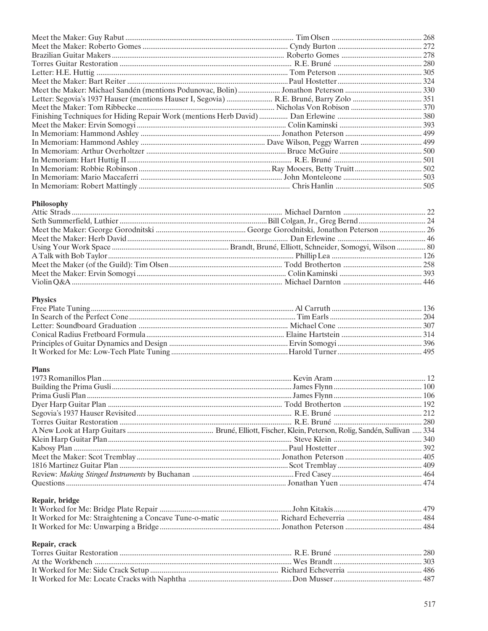# Philosophy

# Physics

# **Plans**

# Repair, bridge

# Repair, crack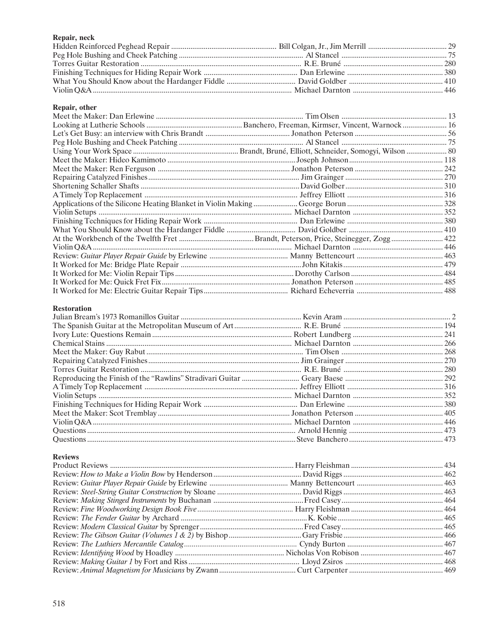# Repair, neck

#### Repair, other

## **Restoration**

#### **Reviews**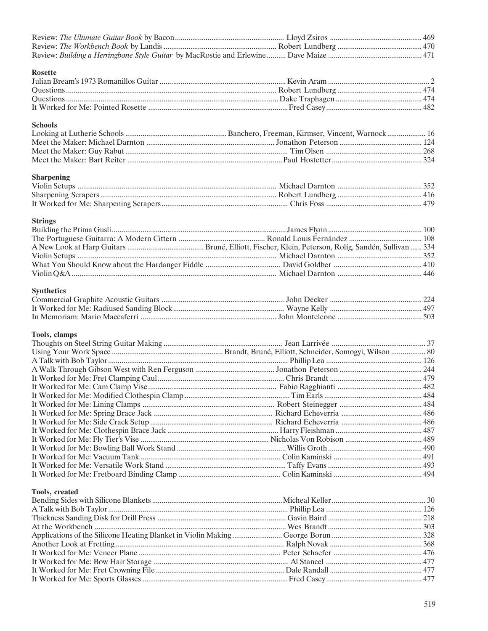| <b>Rosette</b>        |  |
|-----------------------|--|
|                       |  |
|                       |  |
|                       |  |
|                       |  |
| <b>Schools</b>        |  |
|                       |  |
|                       |  |
|                       |  |
|                       |  |
| <b>Sharpening</b>     |  |
|                       |  |
|                       |  |
|                       |  |
| <b>Strings</b>        |  |
|                       |  |
|                       |  |
|                       |  |
|                       |  |
|                       |  |
|                       |  |
| <b>Synthetics</b>     |  |
|                       |  |
|                       |  |
|                       |  |
| Tools, clamps         |  |
|                       |  |
|                       |  |
|                       |  |
|                       |  |
|                       |  |
|                       |  |
|                       |  |
|                       |  |
|                       |  |
|                       |  |
|                       |  |
|                       |  |
|                       |  |
|                       |  |
|                       |  |
|                       |  |
| <b>Tools, created</b> |  |
|                       |  |
|                       |  |
|                       |  |
|                       |  |
|                       |  |
|                       |  |
|                       |  |
|                       |  |
|                       |  |
|                       |  |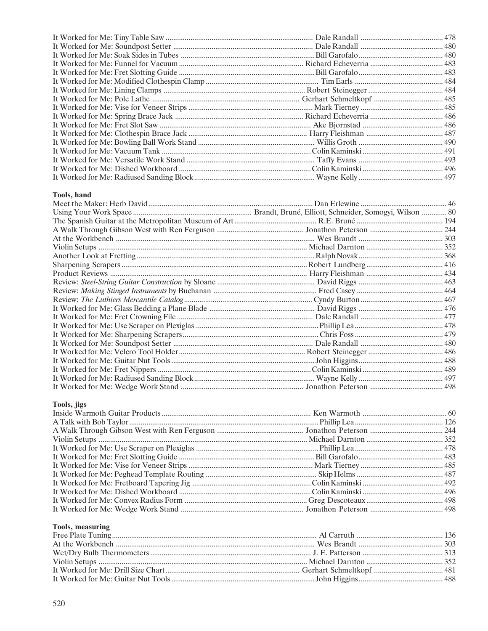# Tools, hand

# Tools, jigs

# Tools, measuring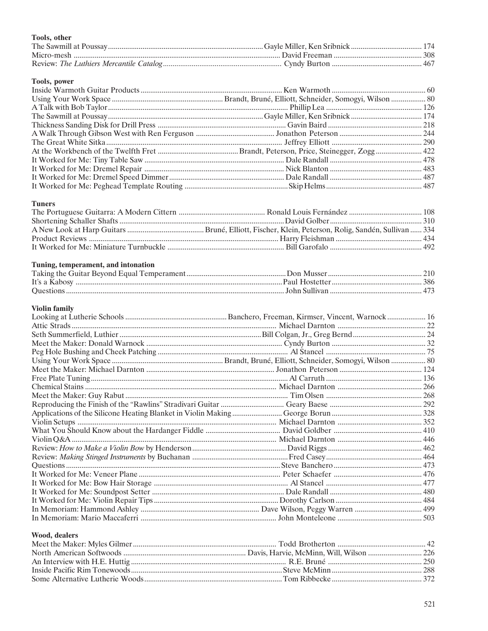# Tools, other

#### Tools, power

# **Tuners**

# Tuning, temperament, and intonation

# **Violin family**

# Wood, dealers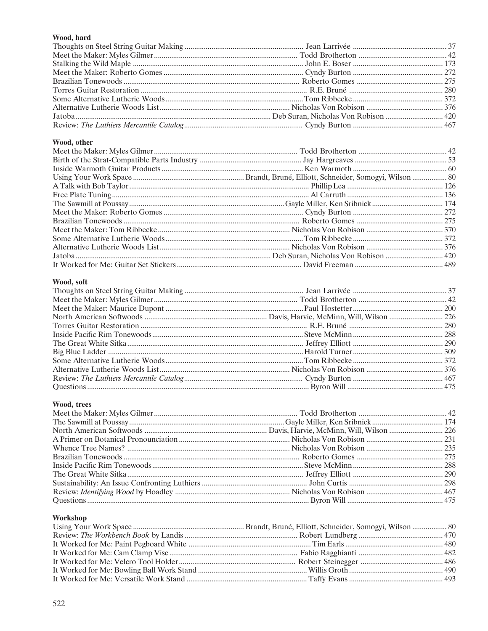# Wood, hard

# Wood, other

# Wood, soft

## Wood, trees

# Workshop